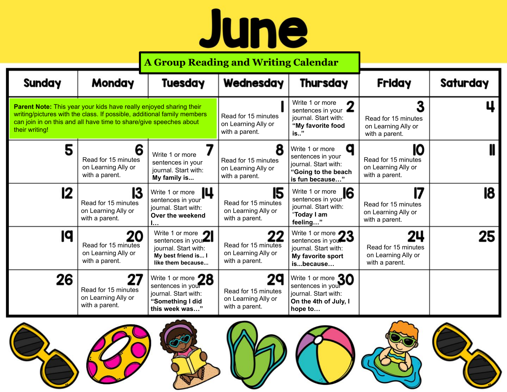## June

|                                                                                                                                                                                                                                       |                                                                    | <b>A Group Reading and Writing Calendar</b>                                                             |                                                                    |                                                                                                                |                                                                    |                 |
|---------------------------------------------------------------------------------------------------------------------------------------------------------------------------------------------------------------------------------------|--------------------------------------------------------------------|---------------------------------------------------------------------------------------------------------|--------------------------------------------------------------------|----------------------------------------------------------------------------------------------------------------|--------------------------------------------------------------------|-----------------|
| <b>Sunday</b>                                                                                                                                                                                                                         | <b>Monday</b>                                                      | <b>Tuesday</b>                                                                                          | Wednesday                                                          | <b>Thursday</b>                                                                                                | Friday                                                             | <b>Saturday</b> |
| Parent Note: This year your kids have really enjoyed sharing their<br>writing/pictures with the class. If possible, additional family members<br>can join in on this and all have time to share/give speeches about<br>their writing! |                                                                    |                                                                                                         | Read for 15 minutes<br>on Learning Ally or<br>with a parent.       | Write 1 or more<br>n<br>sentences in your $\blacktriangle$<br>journal. Start with:<br>"My favorite food<br>is" | 3<br>Read for 15 minutes<br>on Learning Ally or<br>with a parent.  |                 |
| 5                                                                                                                                                                                                                                     | 6<br>Read for 15 minutes<br>on Learning Ally or<br>with a parent.  | Write 1 or more<br>sentences in your<br>journal. Start with:<br>My family is                            | 8<br>Read for 15 minutes<br>on Learning Ally or<br>with a parent.  | a<br>Write 1 or more<br>sentences in your<br>journal. Start with:<br>"Going to the beach<br>is fun because"    | 10<br>Read for 15 minutes<br>on Learning Ally or<br>with a parent. |                 |
| 12                                                                                                                                                                                                                                    | 13<br>Read for 15 minutes<br>on Learning Ally or<br>with a parent. | IЦ<br>Write 1 or more<br>sentences in your<br>journal. Start with:<br>Over the weekend                  | 15<br>Read for 15 minutes<br>on Learning Ally or<br>with a parent. | Sentences in your<br>"Today I am<br>feeling"                                                                   | 17<br>Read for 15 minutes<br>on Learning Ally or<br>with a parent. | 18              |
| 19                                                                                                                                                                                                                                    | Read for 15 minutes<br>on Learning Ally or<br>with a parent.       | Write 1 or more<br>sentences in you<br>journal. Start with:<br>My best friend is I<br>like them because | 22<br>Read for 15 minutes<br>on Learning Ally or<br>with a parent. | Write 1 or more 23<br>journal. Start with:<br>My favorite sport<br>isbecause                                   | 24<br>Read for 15 minutes<br>on Learning Ally or<br>with a parent. | 25              |
| 26                                                                                                                                                                                                                                    | Read for 15 minutes<br>on Learning Ally or<br>with a parent.       | Write 1 or more 28<br>sentences in your<br>journal. Start with:<br>"Something I did<br>this week was"   | 29<br>Read for 15 minutes<br>on Learning Ally or<br>with a parent. | Write 1 or more $\mathbf{30}$<br>sentences in your<br>journal. Start with:<br>On the 4th of July, I<br>hope to |                                                                    |                 |